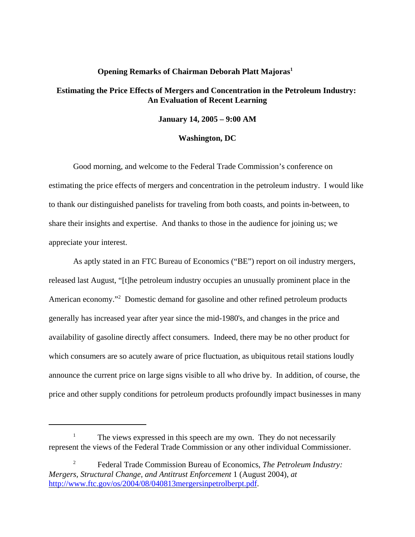## **Opening Remarks of Chairman Deborah Platt Majoras**<sup>1</sup>

## **Estimating the Price Effects of Mergers and Concentration in the Petroleum Industry: An Evaluation of Recent Learning**

**January 14, 2005 – 9:00 AM**

## **Washington, DC**

Good morning, and welcome to the Federal Trade Commission's conference on estimating the price effects of mergers and concentration in the petroleum industry. I would like to thank our distinguished panelists for traveling from both coasts, and points in-between, to share their insights and expertise. And thanks to those in the audience for joining us; we appreciate your interest.

As aptly stated in an FTC Bureau of Economics ("BE") report on oil industry mergers, released last August, "[t]he petroleum industry occupies an unusually prominent place in the American economy."<sup>2</sup> Domestic demand for gasoline and other refined petroleum products generally has increased year after year since the mid-1980's, and changes in the price and availability of gasoline directly affect consumers. Indeed, there may be no other product for which consumers are so acutely aware of price fluctuation, as ubiquitous retail stations loudly announce the current price on large signs visible to all who drive by. In addition, of course, the price and other supply conditions for petroleum products profoundly impact businesses in many

<sup>&</sup>lt;sup>1</sup> The views expressed in this speech are my own. They do not necessarily represent the views of the Federal Trade Commission or any other individual Commissioner.

<sup>2</sup> Federal Trade Commission Bureau of Economics, *The Petroleum Industry: Mergers, Structural Change, and Antitrust Enforcement* 1 (August 2004), *at* http://www.ftc.gov/os/2004/08/040813mergersinpetrolberpt.pdf.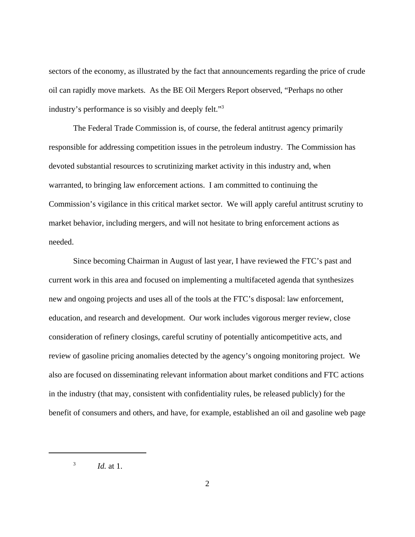sectors of the economy, as illustrated by the fact that announcements regarding the price of crude oil can rapidly move markets. As the BE Oil Mergers Report observed, "Perhaps no other industry's performance is so visibly and deeply felt."3

The Federal Trade Commission is, of course, the federal antitrust agency primarily responsible for addressing competition issues in the petroleum industry. The Commission has devoted substantial resources to scrutinizing market activity in this industry and, when warranted, to bringing law enforcement actions. I am committed to continuing the Commission's vigilance in this critical market sector. We will apply careful antitrust scrutiny to market behavior, including mergers, and will not hesitate to bring enforcement actions as needed.

Since becoming Chairman in August of last year, I have reviewed the FTC's past and current work in this area and focused on implementing a multifaceted agenda that synthesizes new and ongoing projects and uses all of the tools at the FTC's disposal: law enforcement, education, and research and development. Our work includes vigorous merger review, close consideration of refinery closings, careful scrutiny of potentially anticompetitive acts, and review of gasoline pricing anomalies detected by the agency's ongoing monitoring project. We also are focused on disseminating relevant information about market conditions and FTC actions in the industry (that may, consistent with confidentiality rules, be released publicly) for the benefit of consumers and others, and have, for example, established an oil and gasoline web page

 $^{3}$  *Id.* at 1.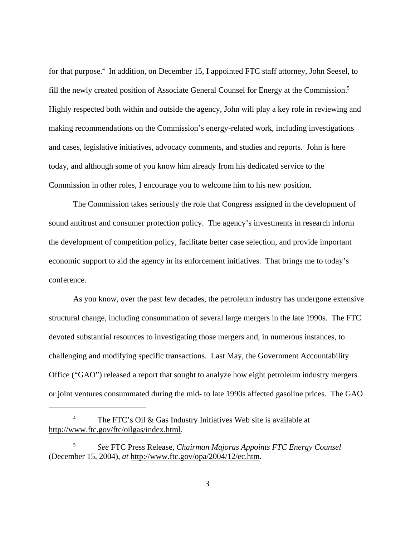for that purpose.<sup>4</sup> In addition, on December 15, I appointed FTC staff attorney, John Seesel, to fill the newly created position of Associate General Counsel for Energy at the Commission.<sup>5</sup> Highly respected both within and outside the agency, John will play a key role in reviewing and making recommendations on the Commission's energy-related work, including investigations and cases, legislative initiatives, advocacy comments, and studies and reports. John is here today, and although some of you know him already from his dedicated service to the Commission in other roles, I encourage you to welcome him to his new position.

The Commission takes seriously the role that Congress assigned in the development of sound antitrust and consumer protection policy. The agency's investments in research inform the development of competition policy, facilitate better case selection, and provide important economic support to aid the agency in its enforcement initiatives. That brings me to today's conference.

As you know, over the past few decades, the petroleum industry has undergone extensive structural change, including consummation of several large mergers in the late 1990s. The FTC devoted substantial resources to investigating those mergers and, in numerous instances, to challenging and modifying specific transactions. Last May, the Government Accountability Office ("GAO") released a report that sought to analyze how eight petroleum industry mergers or joint ventures consummated during the mid- to late 1990s affected gasoline prices. The GAO

The FTC's Oil & Gas Industry Initiatives Web site is available at http://www.ftc.gov/ftc/oilgas/index.html.

<sup>5</sup> *See* FTC Press Release, *Chairman Majoras Appoints FTC Energy Counsel* (December 15, 2004), *at* http://www.ftc.gov/opa/2004/12/ec.htm.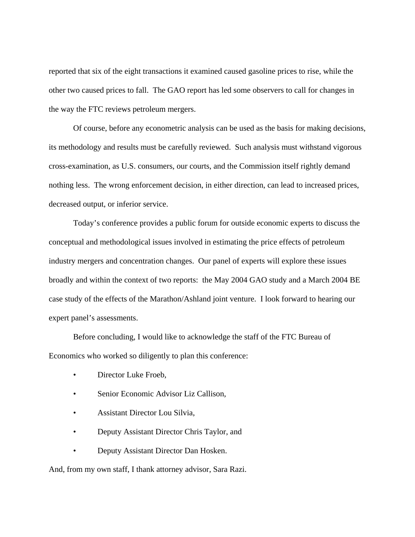reported that six of the eight transactions it examined caused gasoline prices to rise, while the other two caused prices to fall. The GAO report has led some observers to call for changes in the way the FTC reviews petroleum mergers.

Of course, before any econometric analysis can be used as the basis for making decisions, its methodology and results must be carefully reviewed. Such analysis must withstand vigorous cross-examination, as U.S. consumers, our courts, and the Commission itself rightly demand nothing less. The wrong enforcement decision, in either direction, can lead to increased prices, decreased output, or inferior service.

Today's conference provides a public forum for outside economic experts to discuss the conceptual and methodological issues involved in estimating the price effects of petroleum industry mergers and concentration changes. Our panel of experts will explore these issues broadly and within the context of two reports: the May 2004 GAO study and a March 2004 BE case study of the effects of the Marathon/Ashland joint venture. I look forward to hearing our expert panel's assessments.

Before concluding, I would like to acknowledge the staff of the FTC Bureau of Economics who worked so diligently to plan this conference:

- Director Luke Froeb,
- Senior Economic Advisor Liz Callison,
- Assistant Director Lou Silvia,
- Deputy Assistant Director Chris Taylor, and
- Deputy Assistant Director Dan Hosken.

And, from my own staff, I thank attorney advisor, Sara Razi.